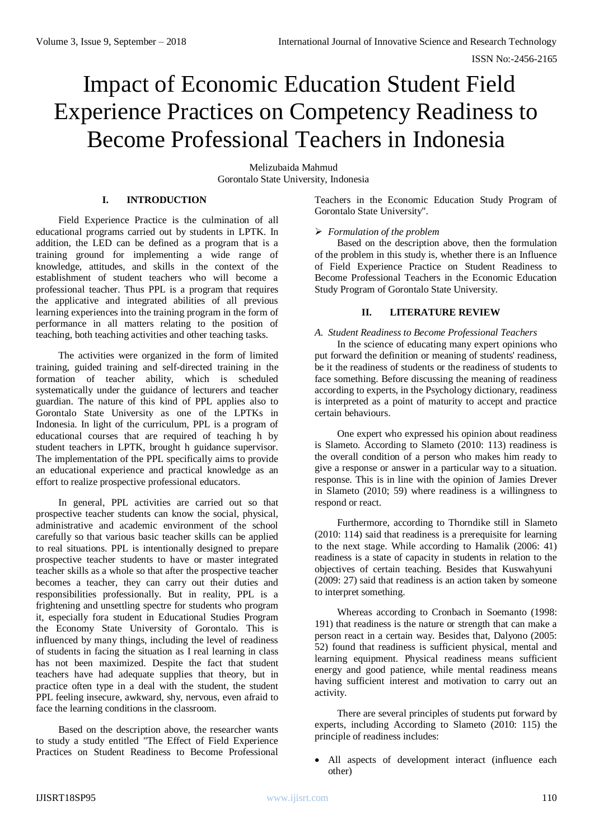# Impact of Economic Education Student Field Experience Practices on Competency Readiness to Become Professional Teachers in Indonesia

Melizubaida Mahmud Gorontalo State University, Indonesia

## **I. INTRODUCTION**

Field Experience Practice is the culmination of all educational programs carried out by students in LPTK. In addition, the LED can be defined as a program that is a training ground for implementing a wide range of knowledge, attitudes, and skills in the context of the establishment of student teachers who will become a professional teacher. Thus PPL is a program that requires the applicative and integrated abilities of all previous learning experiences into the training program in the form of performance in all matters relating to the position of teaching, both teaching activities and other teaching tasks.

The activities were organized in the form of limited training, guided training and self-directed training in the formation of teacher ability, which is scheduled systematically under the guidance of lecturers and teacher guardian. The nature of this kind of PPL applies also to Gorontalo State University as one of the LPTKs in Indonesia. In light of the curriculum, PPL is a program of educational courses that are required of teaching h by student teachers in LPTK, brought h guidance supervisor. The implementation of the PPL specifically aims to provide an educational experience and practical knowledge as an effort to realize prospective professional educators.

In general, PPL activities are carried out so that prospective teacher students can know the social, physical, administrative and academic environment of the school carefully so that various basic teacher skills can be applied to real situations. PPL is intentionally designed to prepare prospective teacher students to have or master integrated teacher skills as a whole so that after the prospective teacher becomes a teacher, they can carry out their duties and responsibilities professionally. But in reality, PPL is a frightening and unsettling spectre for students who program it, especially fora student in Educational Studies Program the Economy State University of Gorontalo. This is influenced by many things, including the level of readiness of students in facing the situation as I real learning in class has not been maximized. Despite the fact that student teachers have had adequate supplies that theory, but in practice often type in a deal with the student, the student PPL feeling insecure, awkward, shy, nervous, even afraid to face the learning conditions in the classroom.

Based on the description above, the researcher wants to study a study entitled "The Effect of Field Experience Practices on Student Readiness to Become Professional

Teachers in the Economic Education Study Program of Gorontalo State University".

## *Formulation of the problem*

Based on the description above, then the formulation of the problem in this study is, whether there is an Influence of Field Experience Practice on Student Readiness to Become Professional Teachers in the Economic Education Study Program of Gorontalo State University.

## **II. LITERATURE REVIEW**

# *A. Student Readiness to Become Professional Teachers*

In the science of educating many expert opinions who put forward the definition or meaning of students' readiness, be it the readiness of students or the readiness of students to face something. Before discussing the meaning of readiness according to experts, in the Psychology dictionary, readiness is interpreted as a point of maturity to accept and practice certain behaviours.

One expert who expressed his opinion about readiness is Slameto. According to Slameto (2010: 113) readiness is the overall condition of a person who makes him ready to give a response or answer in a particular way to a situation. response. This is in line with the opinion of Jamies Drever in Slameto (2010; 59) where readiness is a willingness to respond or react.

Furthermore, according to Thorndike still in Slameto (2010: 114) said that readiness is a prerequisite for learning to the next stage. While according to Hamalik (2006: 41) readiness is a state of capacity in students in relation to the objectives of certain teaching. Besides that Kuswahyuni (2009: 27) said that readiness is an action taken by someone to interpret something.

Whereas according to Cronbach in Soemanto (1998: 191) that readiness is the nature or strength that can make a person react in a certain way. Besides that, Dalyono (2005: 52) found that readiness is sufficient physical, mental and learning equipment. Physical readiness means sufficient energy and good patience, while mental readiness means having sufficient interest and motivation to carry out an activity.

There are several principles of students put forward by experts, including According to Slameto (2010: 115) the principle of readiness includes:

 All aspects of development interact (influence each other)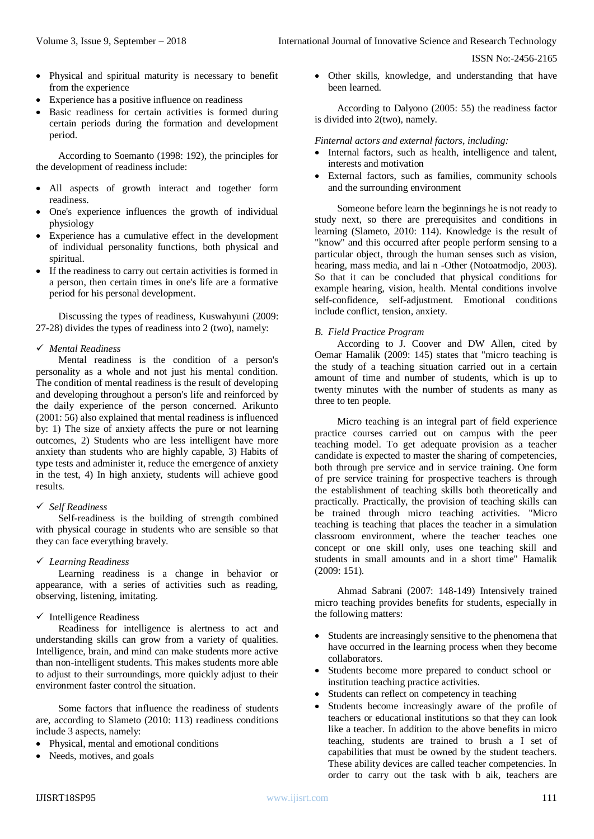- Physical and spiritual maturity is necessary to benefit from the experience
- Experience has a positive influence on readiness
- Basic readiness for certain activities is formed during certain periods during the formation and development period.

According to Soemanto (1998: 192), the principles for the development of readiness include:

- All aspects of growth interact and together form readiness.
- One's experience influences the growth of individual physiology
- Experience has a cumulative effect in the development of individual personality functions, both physical and spiritual.
- If the readiness to carry out certain activities is formed in a person, then certain times in one's life are a formative period for his personal development.

Discussing the types of readiness, Kuswahyuni (2009: 27-28) divides the types of readiness into 2 (two), namely:

# *Mental Readiness*

Mental readiness is the condition of a person's personality as a whole and not just his mental condition. The condition of mental readiness is the result of developing and developing throughout a person's life and reinforced by the daily experience of the person concerned. Arikunto (2001: 56) also explained that mental readiness is influenced by: 1) The size of anxiety affects the pure or not learning outcomes, 2) Students who are less intelligent have more anxiety than students who are highly capable, 3) Habits of type tests and administer it, reduce the emergence of anxiety in the test, 4) In high anxiety, students will achieve good results.

# *Self Readiness*

Self-readiness is the building of strength combined with physical courage in students who are sensible so that they can face everything bravely.

## *Learning Readiness*

Learning readiness is a change in behavior or appearance, with a series of activities such as reading, observing, listening, imitating.

# $\checkmark$  Intelligence Readiness

Readiness for intelligence is alertness to act and understanding skills can grow from a variety of qualities. Intelligence, brain, and mind can make students more active than non-intelligent students. This makes students more able to adjust to their surroundings, more quickly adjust to their environment faster control the situation.

Some factors that influence the readiness of students are, according to Slameto (2010: 113) readiness conditions include 3 aspects, namely:

- Physical, mental and emotional conditions
- Needs, motives, and goals

 Other skills, knowledge, and understanding that have been learned.

According to Dalyono (2005: 55) the readiness factor is divided into 2(two), namely.

## *Finternal actors and external factors, including:*

- Internal factors, such as health, intelligence and talent, interests and motivation
- External factors, such as families, community schools and the surrounding environment

Someone before learn the beginnings he is not ready to study next, so there are prerequisites and conditions in learning (Slameto, 2010: 114). Knowledge is the result of "know" and this occurred after people perform sensing to a particular object, through the human senses such as vision, hearing, mass media, and lai n -Other (Notoatmodjo, 2003). So that it can be concluded that physical conditions for example hearing, vision, health. Mental conditions involve self-confidence, self-adjustment. Emotional conditions include conflict, tension, anxiety.

## *B. Field Practice Program*

According to J. Coover and DW Allen, cited by Oemar Hamalik (2009: 145) states that "micro teaching is the study of a teaching situation carried out in a certain amount of time and number of students, which is up to twenty minutes with the number of students as many as three to ten people.

Micro teaching is an integral part of field experience practice courses carried out on campus with the peer teaching model. To get adequate provision as a teacher candidate is expected to master the sharing of competencies, both through pre service and in service training. One form of pre service training for prospective teachers is through the establishment of teaching skills both theoretically and practically. Practically, the provision of teaching skills can be trained through micro teaching activities. "Micro teaching is teaching that places the teacher in a simulation classroom environment, where the teacher teaches one concept or one skill only, uses one teaching skill and students in small amounts and in a short time" Hamalik (2009: 151).

Ahmad Sabrani (2007: 148-149) Intensively trained micro teaching provides benefits for students, especially in the following matters:

- Students are increasingly sensitive to the phenomena that have occurred in the learning process when they become collaborators.
- Students become more prepared to conduct school or institution teaching practice activities.
- Students can reflect on competency in teaching
- Students become increasingly aware of the profile of teachers or educational institutions so that they can look like a teacher. In addition to the above benefits in micro teaching, students are trained to brush a I set of capabilities that must be owned by the student teachers. These ability devices are called teacher competencies. In order to carry out the task with b aik, teachers are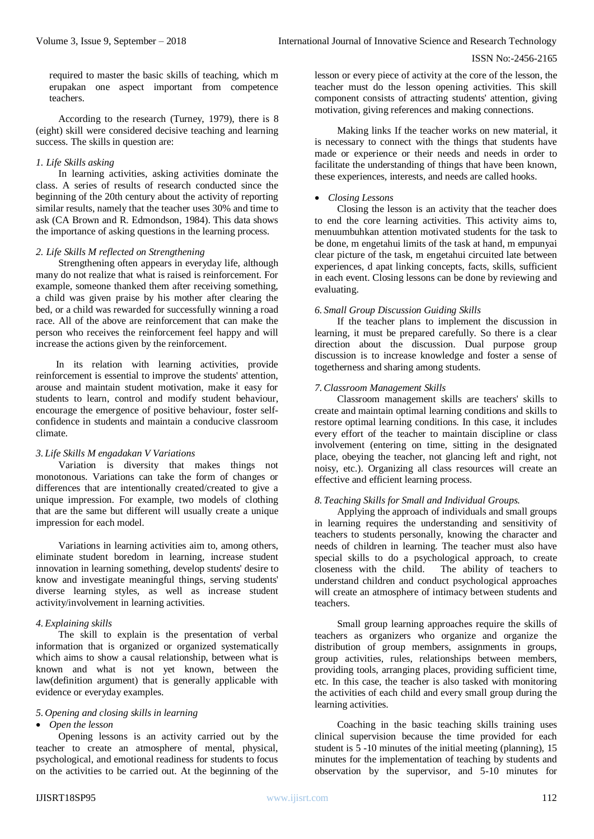required to master the basic skills of teaching, which m erupakan one aspect important from competence teachers.

According to the research (Turney, 1979), there is 8 (eight) skill were considered decisive teaching and learning success. The skills in question are:

## *1. Life Skills asking*

In learning activities, asking activities dominate the class. A series of results of research conducted since the beginning of the 20th century about the activity of reporting similar results, namely that the teacher uses 30% and time to ask (CA Brown and R. Edmondson, 1984). This data shows the importance of asking questions in the learning process.

#### *2. Life Skills M reflected on Strengthening*

Strengthening often appears in everyday life, although many do not realize that what is raised is reinforcement. For example, someone thanked them after receiving something, a child was given praise by his mother after clearing the bed, or a child was rewarded for successfully winning a road race. All of the above are reinforcement that can make the person who receives the reinforcement feel happy and will increase the actions given by the reinforcement.

In its relation with learning activities, provide reinforcement is essential to improve the students' attention, arouse and maintain student motivation, make it easy for students to learn, control and modify student behaviour, encourage the emergence of positive behaviour, foster selfconfidence in students and maintain a conducive classroom climate.

## *3. Life Skills M engadakan V Variations*

Variation is diversity that makes things not monotonous. Variations can take the form of changes or differences that are intentionally created/created to give a unique impression. For example, two models of clothing that are the same but different will usually create a unique impression for each model.

Variations in learning activities aim to, among others, eliminate student boredom in learning, increase student innovation in learning something, develop students' desire to know and investigate meaningful things, serving students' diverse learning styles, as well as increase student activity/involvement in learning activities.

#### *4. Explaining skills*

The skill to explain is the presentation of verbal information that is organized or organized systematically which aims to show a causal relationship, between what is known and what is not yet known, between the law(definition argument) that is generally applicable with evidence or everyday examples.

## *5. Opening and closing skills in learning*

*Open the lesson* 

Opening lessons is an activity carried out by the teacher to create an atmosphere of mental, physical, psychological, and emotional readiness for students to focus on the activities to be carried out. At the beginning of the

lesson or every piece of activity at the core of the lesson, the teacher must do the lesson opening activities. This skill component consists of attracting students' attention, giving motivation, giving references and making connections.

Making links If the teacher works on new material, it is necessary to connect with the things that students have made or experience or their needs and needs in order to facilitate the understanding of things that have been known, these experiences, interests, and needs are called hooks.

#### *Closing Lessons*

Closing the lesson is an activity that the teacher does to end the core learning activities. This activity aims to, menuumbuhkan attention motivated students for the task to be done, m engetahui limits of the task at hand, m empunyai clear picture of the task, m engetahui circuited late between experiences, d apat linking concepts, facts, skills, sufficient in each event. Closing lessons can be done by reviewing and evaluating.

#### *6. Small Group Discussion Guiding Skills*

If the teacher plans to implement the discussion in learning, it must be prepared carefully. So there is a clear direction about the discussion. Dual purpose group discussion is to increase knowledge and foster a sense of togetherness and sharing among students.

#### *7.Classroom Management Skills*

Classroom management skills are teachers' skills to create and maintain optimal learning conditions and skills to restore optimal learning conditions. In this case, it includes every effort of the teacher to maintain discipline or class involvement (entering on time, sitting in the designated place, obeying the teacher, not glancing left and right, not noisy, etc.). Organizing all class resources will create an effective and efficient learning process.

#### *8. Teaching Skills for Small and Individual Groups.*

Applying the approach of individuals and small groups in learning requires the understanding and sensitivity of teachers to students personally, knowing the character and needs of children in learning. The teacher must also have special skills to do a psychological approach, to create closeness with the child. The ability of teachers to understand children and conduct psychological approaches will create an atmosphere of intimacy between students and teachers.

Small group learning approaches require the skills of teachers as organizers who organize and organize the distribution of group members, assignments in groups, group activities, rules, relationships between members, providing tools, arranging places, providing sufficient time, etc. In this case, the teacher is also tasked with monitoring the activities of each child and every small group during the learning activities.

Coaching in the basic teaching skills training uses clinical supervision because the time provided for each student is 5 -10 minutes of the initial meeting (planning), 15 minutes for the implementation of teaching by students and observation by the supervisor, and 5-10 minutes for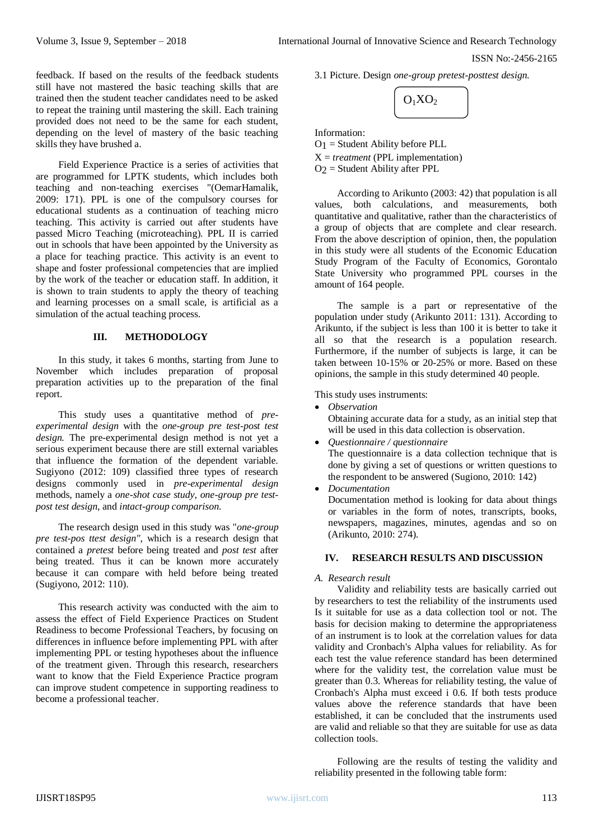feedback. If based on the results of the feedback students still have not mastered the basic teaching skills that are trained then the student teacher candidates need to be asked to repeat the training until mastering the skill. Each training provided does not need to be the same for each student, depending on the level of mastery of the basic teaching skills they have brushed a.

Field Experience Practice is a series of activities that are programmed for LPTK students, which includes both teaching and non-teaching exercises "(OemarHamalik, 2009: 171). PPL is one of the compulsory courses for educational students as a continuation of teaching micro teaching. This activity is carried out after students have passed Micro Teaching (microteaching). PPL II is carried out in schools that have been appointed by the University as a place for teaching practice. This activity is an event to shape and foster professional competencies that are implied by the work of the teacher or education staff. In addition, it is shown to train students to apply the theory of teaching and learning processes on a small scale, is artificial as a simulation of the actual teaching process.

## **III. METHODOLOGY**

In this study, it takes 6 months, starting from June to November which includes preparation of proposal preparation activities up to the preparation of the final report.

This study uses a quantitative method of *preexperimental design* with the *one-group pre test-post test design.* The pre-experimental design method is not yet a serious experiment because there are still external variables that influence the formation of the dependent variable. Sugiyono (2012: 109) classified three types of research designs commonly used in *pre-experimental design* methods, namely a *one-shot case study, one-group pre testpost test design*, and *intact-group comparison*.

The research design used in this study was "*one-group pre test-pos ttest design"*, which is a research design that contained a *pretest* before being treated and *post test* after being treated. Thus it can be known more accurately because it can compare with held before being treated (Sugiyono, 2012: 110).

This research activity was conducted with the aim to assess the effect of Field Experience Practices on Student Readiness to become Professional Teachers, by focusing on differences in influence before implementing PPL with after implementing PPL or testing hypotheses about the influence of the treatment given. Through this research, researchers want to know that the Field Experience Practice program can improve student competence in supporting readiness to become a professional teacher.

3.1 Picture. Design *one-group pretest-posttest design.*



Information:

O1 = Student Ability before PLL X = *treatment* (PPL implementation)  $O<sub>2</sub>$  = Student Ability after PPL

According to Arikunto (2003: 42) that population is all values, both calculations, and measurements, both quantitative and qualitative, rather than the characteristics of a group of objects that are complete and clear research. From the above description of opinion, then, the population in this study were all students of the Economic Education Study Program of the Faculty of Economics, Gorontalo State University who programmed PPL courses in the amount of 164 people.

The sample is a part or representative of the population under study (Arikunto 2011: 131). According to Arikunto, if the subject is less than 100 it is better to take it all so that the research is a population research. Furthermore, if the number of subjects is large, it can be taken between 10-15% or 20-25% or more. Based on these opinions, the sample in this study determined 40 people.

This study uses instruments:

*Observation* 

Obtaining accurate data for a study, as an initial step that will be used in this data collection is observation.

- *Questionnaire / questionnaire*  The questionnaire is a data collection technique that is done by giving a set of questions or written questions to the respondent to be answered (Sugiono, 2010: 142)
- *Documentation*

Documentation method is looking for data about things or variables in the form of notes, transcripts, books, newspapers, magazines, minutes, agendas and so on (Arikunto, 2010: 274).

## **IV. RESEARCH RESULTS AND DISCUSSION**

#### *A. Research result*

Validity and reliability tests are basically carried out by researchers to test the reliability of the instruments used Is it suitable for use as a data collection tool or not. The basis for decision making to determine the appropriateness of an instrument is to look at the correlation values for data validity and Cronbach's Alpha values for reliability. As for each test the value reference standard has been determined where for the validity test, the correlation value must be greater than 0.3. Whereas for reliability testing, the value of Cronbach's Alpha must exceed i 0.6. If both tests produce values above the reference standards that have been established, it can be concluded that the instruments used are valid and reliable so that they are suitable for use as data collection tools.

Following are the results of testing the validity and reliability presented in the following table form: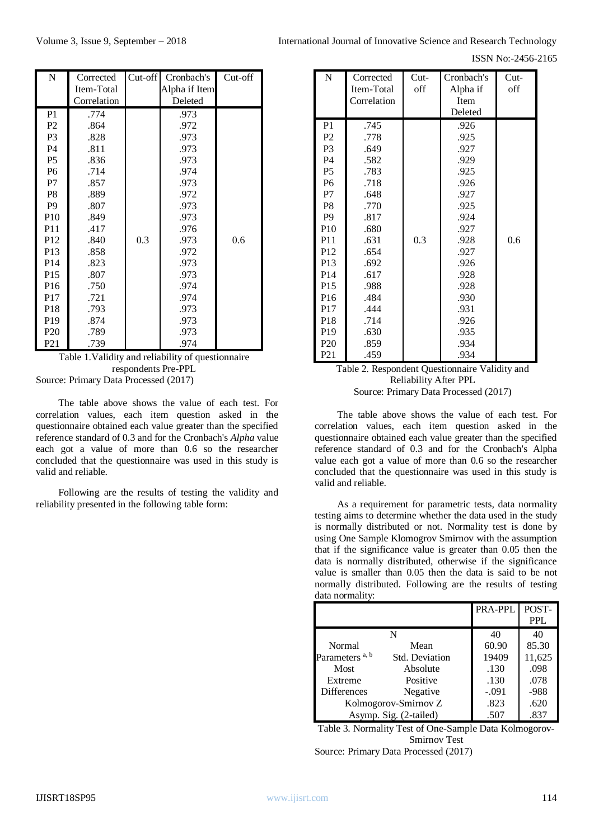ISSN No:-2456-2165

| N               | Corrected   | $Cut-off$ | Cronbach's    | Cut-off |
|-----------------|-------------|-----------|---------------|---------|
|                 | Item-Total  |           | Alpha if Item |         |
|                 | Correlation |           | Deleted       |         |
| P <sub>1</sub>  | .774        |           | .973          |         |
| P <sub>2</sub>  | .864        |           | .972          |         |
| P <sub>3</sub>  | .828        |           | .973          |         |
| <b>P4</b>       | .811        |           | .973          |         |
| <b>P5</b>       | .836        |           | .973          |         |
| P <sub>6</sub>  | .714        |           | .974          |         |
| P7              | .857        |           | .973          |         |
| P <sub>8</sub>  | .889        |           | .972          |         |
| P <sub>9</sub>  | .807        |           | .973          |         |
| P <sub>10</sub> | .849        |           | .973          |         |
| P <sub>11</sub> | .417        |           | .976          |         |
| P <sub>12</sub> | .840        | 0.3       | .973          | 0.6     |
| P <sub>13</sub> | .858        |           | .972          |         |
| P <sub>14</sub> | .823        |           | .973          |         |
| P15             | .807        |           | .973          |         |
| P <sub>16</sub> | .750        |           | .974          |         |
| P <sub>17</sub> | .721        |           | .974          |         |
| P <sub>18</sub> | .793        |           | .973          |         |
| P <sub>19</sub> | .874        |           | .973          |         |
| P <sub>20</sub> | .789        |           | .973          |         |
| P <sub>21</sub> | .739        |           | .974          |         |

| Table 1. Validity and reliability of questionnaire |
|----------------------------------------------------|
| respondents Pre-PPL                                |
| Source: Primary Data Processed (2017)              |

The table above shows the value of each test. For correlation values, each item question asked in the questionnaire obtained each value greater than the specified reference standard of 0.3 and for the Cronbach's *Alpha* value each got a value of more than 0.6 so the researcher concluded that the questionnaire was used in this study is valid and reliable.

Following are the results of testing the validity and reliability presented in the following table form:

| $\overline{N}$  | Corrected   | $Cut-$ | Cronbach's | $Cut-$ |
|-----------------|-------------|--------|------------|--------|
|                 | Item-Total  | off    | Alpha if   | off    |
|                 | Correlation |        | Item       |        |
|                 |             |        | Deleted    |        |
| P <sub>1</sub>  | .745        |        | .926       |        |
| P <sub>2</sub>  | .778        |        | .925       |        |
| P <sub>3</sub>  | .649        |        | .927       |        |
| <b>P4</b>       | .582        |        | .929       |        |
| P <sub>5</sub>  | .783        |        | .925       |        |
| P <sub>6</sub>  | .718        |        | .926       |        |
| P7              | .648        |        | .927       |        |
| P <sub>8</sub>  | .770        |        | .925       |        |
| P <sub>9</sub>  | .817        |        | .924       |        |
| P10             | .680        |        | .927       |        |
| P <sub>11</sub> | .631        | 0.3    | .928       | 0.6    |
| P <sub>12</sub> | .654        |        | .927       |        |
| P <sub>13</sub> | .692        |        | .926       |        |
| P <sub>14</sub> | .617        |        | .928       |        |
| P <sub>15</sub> | .988        |        | .928       |        |
| P <sub>16</sub> | .484        |        | .930       |        |
| P <sub>17</sub> | .444        |        | .931       |        |
| P <sub>18</sub> | .714        |        | .926       |        |
| P <sub>19</sub> | .630        |        | .935       |        |
| P <sub>20</sub> | .859        |        | .934       |        |
| P <sub>21</sub> | .459        |        | .934       |        |

Table 2. Respondent Questionnaire Validity and Reliability After PPL Source: Primary Data Processed (2017)

The table above shows the value of each test. For correlation values, each item question asked in the questionnaire obtained each value greater than the specified reference standard of 0.3 and for the Cronbach's Alpha value each got a value of more than 0.6 so the researcher concluded that the questionnaire was used in this study is valid and reliable.

As a requirement for parametric tests*,* data normality testing aims to determine whether the data used in the study is normally distributed or not. Normality test is done by using One Sample Klomogrov Smirnov with the assumption that if the significance value is greater than 0.05 then the data is normally distributed, otherwise if the significance value is smaller than 0.05 then the data is said to be not normally distributed. Following are the results of testing data normality:

| $\cdots$                   |                       |         |            |
|----------------------------|-----------------------|---------|------------|
|                            |                       | PRA-PPL | POST-      |
|                            |                       |         | <b>PPL</b> |
|                            | N                     | 40      | 40         |
| Normal                     | Mean                  | 60.90   | 85.30      |
| Parameters <sup>a, b</sup> | <b>Std. Deviation</b> | 19409   | 11,625     |
| Most                       | Absolute              | .130    | .098       |
| Extreme                    | Positive              | .130    | .078       |
| <b>Differences</b>         | Negative              | $-.091$ | -988       |
| Kolmogorov-Smirnov Z       |                       | .823    | .620       |
| Asymp. Sig. (2-tailed)     |                       | .507    | .837       |

Table 3. Normality Test of One-Sample Data Kolmogorov-Smirnov Test Source: Primary Data Processed (2017)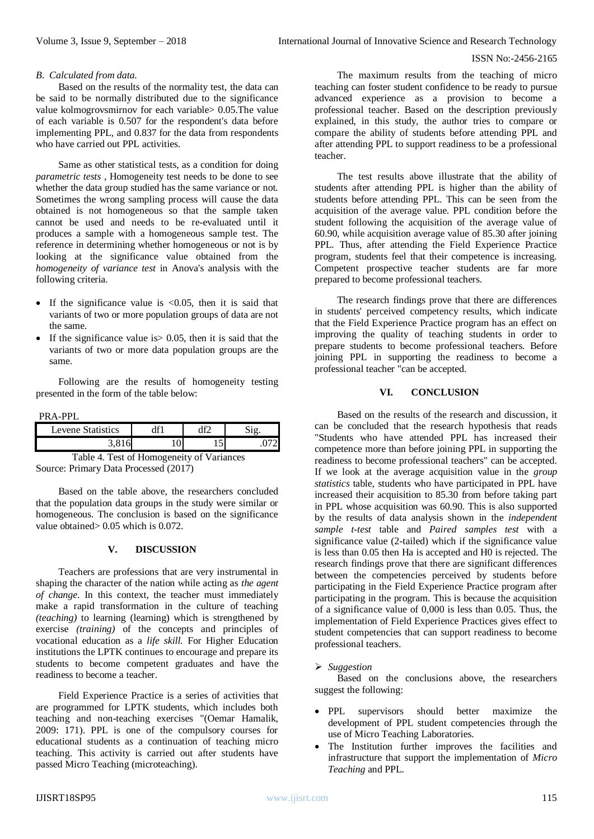#### *B. Calculated from data.*

Based on the results of the normality test, the data can be said to be normally distributed due to the significance value kolmogrovsmirnov for each variable> 0.05.The value of each variable is 0.507 for the respondent's data before implementing PPL, and 0.837 for the data from respondents who have carried out PPL activities.

Same as other statistical tests, as a condition for doing *parametric tests* , Homogeneity test needs to be done to see whether the data group studied has the same variance or not. Sometimes the wrong sampling process will cause the data obtained is not homogeneous so that the sample taken cannot be used and needs to be re-evaluated until it produces a sample with a homogeneous sample test. The reference in determining whether homogeneous or not is by looking at the significance value obtained from the *homogeneity of variance test* in Anova's analysis with the following criteria.

- If the significance value is  $<0.05$ , then it is said that variants of two or more population groups of data are not the same.
- If the significance value is  $> 0.05$ , then it is said that the variants of two or more data population groups are the same.

Following are the results of homogeneity testing presented in the form of the table below:

PRA-PPL

| evene Statistics | $\sim$ |  |
|------------------|--------|--|
|                  |        |  |

Table 4. Test of Homogeneity of Variances Source: Primary Data Processed (2017)

Based on the table above, the researchers concluded that the population data groups in the study were similar or homogeneous. The conclusion is based on the significance value obtained> 0.05 which is 0.072.

## **V. DISCUSSION**

Teachers are professions that are very instrumental in shaping the character of the nation while acting as *the agent of change*. In this context, the teacher must immediately make a rapid transformation in the culture of teaching *(teaching)* to learning (learning) which is strengthened by exercise *(training)* of the concepts and principles of vocational education as a *life skill.* For Higher Education institutions the LPTK continues to encourage and prepare its students to become competent graduates and have the readiness to become a teacher.

Field Experience Practice is a series of activities that are programmed for LPTK students, which includes both teaching and non-teaching exercises "(Oemar Hamalik, 2009: 171). PPL is one of the compulsory courses for educational students as a continuation of teaching micro teaching. This activity is carried out after students have passed Micro Teaching (microteaching).

The maximum results from the teaching of micro teaching can foster student confidence to be ready to pursue advanced experience as a provision to become a professional teacher. Based on the description previously explained, in this study, the author tries to compare or compare the ability of students before attending PPL and after attending PPL to support readiness to be a professional teacher.

The test results above illustrate that the ability of students after attending PPL is higher than the ability of students before attending PPL. This can be seen from the acquisition of the average value. PPL condition before the student following the acquisition of the average value of 60.90, while acquisition average value of 85.30 after joining PPL. Thus, after attending the Field Experience Practice program, students feel that their competence is increasing. Competent prospective teacher students are far more prepared to become professional teachers.

The research findings prove that there are differences in students' perceived competency results, which indicate that the Field Experience Practice program has an effect on improving the quality of teaching students in order to prepare students to become professional teachers. Before joining PPL in supporting the readiness to become a professional teacher "can be accepted.

## **VI. CONCLUSION**

Based on the results of the research and discussion, it can be concluded that the research hypothesis that reads "Students who have attended PPL has increased their competence more than before joining PPL in supporting the readiness to become professional teachers" can be accepted. If we look at the average acquisition value in the *group statistics* table, students who have participated in PPL have increased their acquisition to 85.30 from before taking part in PPL whose acquisition was 60.90. This is also supported by the results of data analysis shown in the *independent sample t-test* table and *Paired samples test* with a significance value (2-tailed) which if the significance value is less than 0.05 then Ha is accepted and H0 is rejected. The research findings prove that there are significant differences between the competencies perceived by students before participating in the Field Experience Practice program after participating in the program. This is because the acquisition of a significance value of 0,000 is less than 0.05. Thus, the implementation of Field Experience Practices gives effect to student competencies that can support readiness to become professional teachers.

## *Suggestion*

Based on the conclusions above, the researchers suggest the following:

- PPL supervisors should better maximize the development of PPL student competencies through the use of Micro Teaching Laboratories.
- The Institution further improves the facilities and infrastructure that support the implementation of *Micro Teaching* and PPL*.*